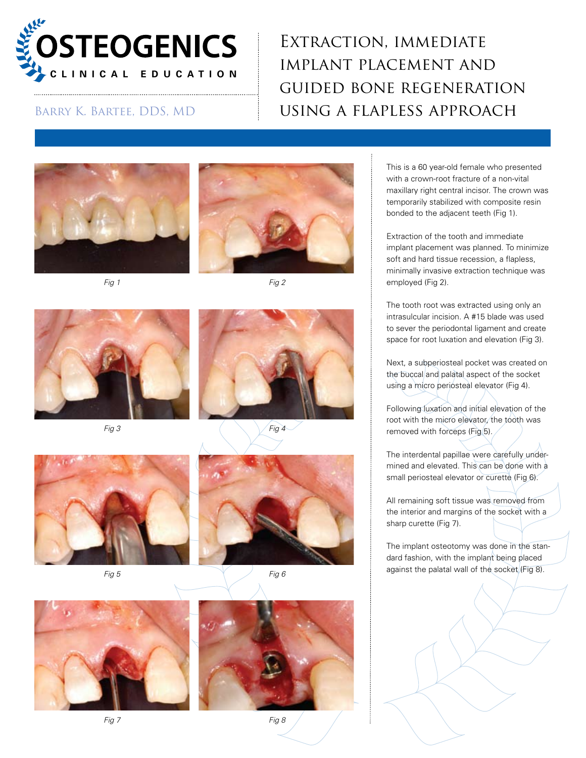

## Extraction, immediate implant placement and guided bone regeneration BARRY K. BARTEE, DDS, MD **USING A FLAPLESS APPROACH**











*Fig 3 Fig 4*





*Fig 5 Fig 6*





This is a 60 year-old female who presented with a crown-root fracture of a non-vital maxillary right central incisor. The crown was temporarily stabilized with composite resin bonded to the adjacent teeth (Fig 1).

Extraction of the tooth and immediate implant placement was planned. To minimize soft and hard tissue recession, a flapless, minimally invasive extraction technique was employed (Fig 2).

The tooth root was extracted using only an intrasulcular incision. A #15 blade was used to sever the periodontal ligament and create space for root luxation and elevation (Fig 3).

Next, a subperiosteal pocket was created on the buccal and palatal aspect of the socket using a micro periosteal elevator (Fig 4).

Following luxation and initial elevation of the root with the micro elevator, the tooth was removed with forceps (Fig 5).

The interdental papillae were carefully undermined and elevated. This can be done with a small periosteal elevator or curette (Fig 6).

All remaining soft tissue was removed from the interior and margins of the socket with a sharp curette (Fig 7).

The implant osteotomy was done in the standard fashion, with the implant being placed against the palatal wall of the socket (Fig 8).